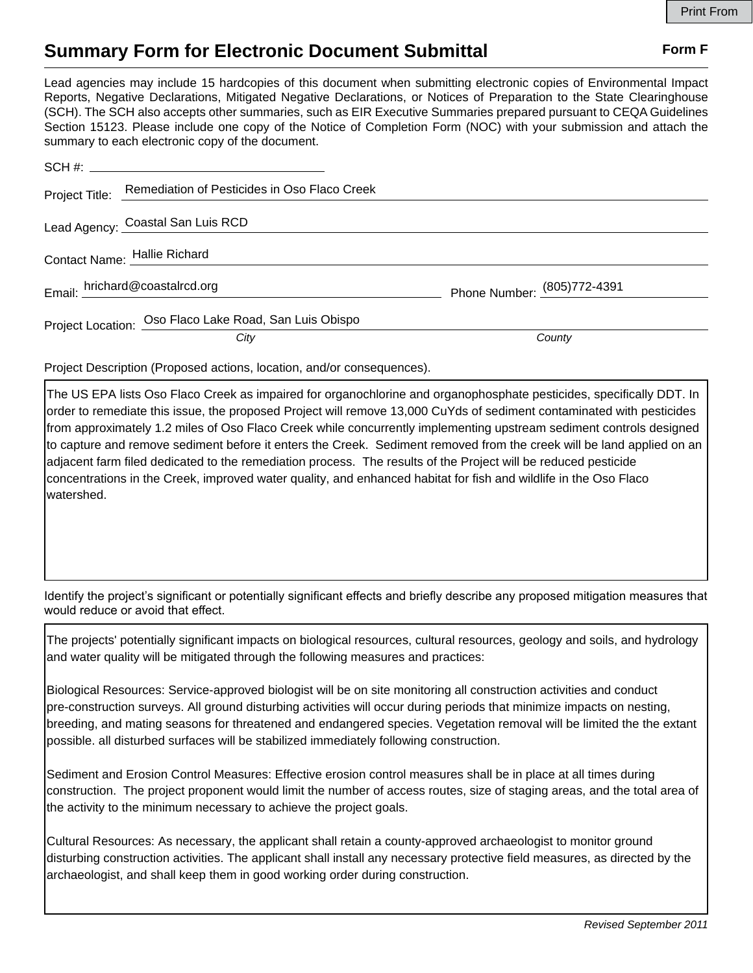## **Summary Form for Electronic Document Submittal Form F Form F**

Lead agencies may include 15 hardcopies of this document when submitting electronic copies of Environmental Impact Reports, Negative Declarations, Mitigated Negative Declarations, or Notices of Preparation to the State Clearinghouse (SCH). The SCH also accepts other summaries, such as EIR Executive Summaries prepared pursuant to CEQA Guidelines Section 15123. Please include one copy of the Notice of Completion Form (NOC) with your submission and attach the summary to each electronic copy of the document.

|                                | Project Title: Remediation of Pesticides in Oso Flaco Creek |                             |
|--------------------------------|-------------------------------------------------------------|-----------------------------|
|                                | Lead Agency: Coastal San Luis RCD                           |                             |
|                                | Contact Name: Hallie Richard                                |                             |
| Email: hrichard@coastalrcd.org |                                                             | Phone Number: (805)772-4391 |
|                                | Project Location: Oso Flaco Lake Road, San Luis Obispo      |                             |
|                                | City                                                        | County                      |

Project Description (Proposed actions, location, and/or consequences).

The US EPA lists Oso Flaco Creek as impaired for organochlorine and organophosphate pesticides, specifically DDT. In order to remediate this issue, the proposed Project will remove 13,000 CuYds of sediment contaminated with pesticides from approximately 1.2 miles of Oso Flaco Creek while concurrently implementing upstream sediment controls designed to capture and remove sediment before it enters the Creek. Sediment removed from the creek will be land applied on an adjacent farm filed dedicated to the remediation process. The results of the Project will be reduced pesticide concentrations in the Creek, improved water quality, and enhanced habitat for fish and wildlife in the Oso Flaco watershed.

Identify the project's significant or potentially significant effects and briefly describe any proposed mitigation measures that would reduce or avoid that effect.

The projects' potentially significant impacts on biological resources, cultural resources, geology and soils, and hydrology and water quality will be mitigated through the following measures and practices:

Biological Resources: Service-approved biologist will be on site monitoring all construction activities and conduct pre-construction surveys. All ground disturbing activities will occur during periods that minimize impacts on nesting, breeding, and mating seasons for threatened and endangered species. Vegetation removal will be limited the the extant possible. all disturbed surfaces will be stabilized immediately following construction.

Sediment and Erosion Control Measures: Effective erosion control measures shall be in place at all times during construction. The project proponent would limit the number of access routes, size of staging areas, and the total area of the activity to the minimum necessary to achieve the project goals.

Cultural Resources: As necessary, the applicant shall retain a county-approved archaeologist to monitor ground disturbing construction activities. The applicant shall install any necessary protective field measures, as directed by the archaeologist, and shall keep them in good working order during construction.